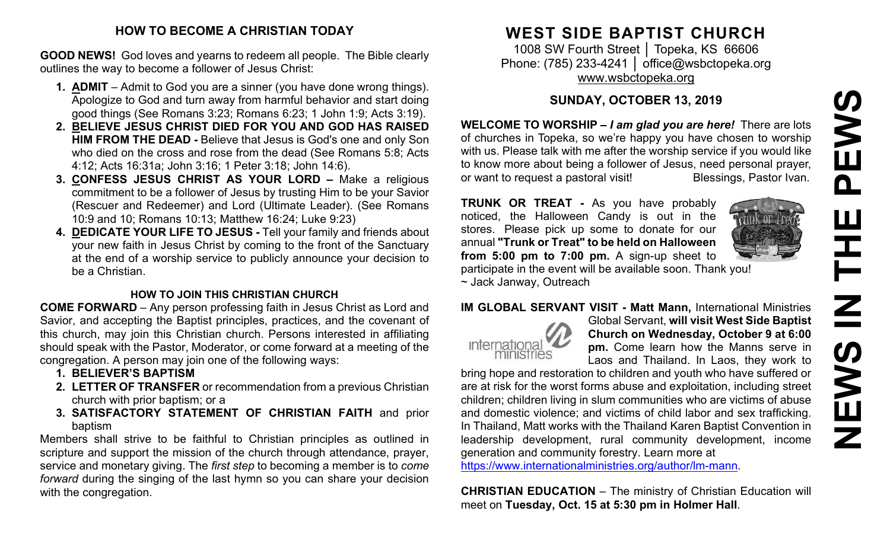### **HOW TO BECOME A CHRISTIAN TODAY**

**GOOD NEWS!** God loves and yearns to redeem all people. The Bible clearly outlines the way to become a follower of Jesus Christ:

- **1. ADMIT** Admit to God you are a sinner (you have done wrong things). Apologize to God and turn away from harmful behavior and start doing good things (See Romans 3:23; Romans 6:23; 1 John 1:9; Acts 3:19).
- **2. BELIEVE JESUS CHRIST DIED FOR YOU AND GOD HAS RAISED HIM FROM THE DEAD -** Believe that Jesus is God's one and only Son who died on the cross and rose from the dead (See Romans 5:8; Acts 4:12; Acts 16:31a; John 3:16; 1 Peter 3:18; John 14:6).
- **3. CONFESS JESUS CHRIST AS YOUR LORD –** Make a religious commitment to be a follower of Jesus by trusting Him to be your Savior (Rescuer and Redeemer) and Lord (Ultimate Leader). (See Romans 10:9 and 10; Romans 10:13; Matthew 16:24; Luke 9:23)
- **4. DEDICATE YOUR LIFE TO JESUS -** Tell your family and friends about your new faith in Jesus Christ by coming to the front of the Sanctuary at the end of a worship service to publicly announce your decision to be a Christian.

### **HOW TO JOIN THIS CHRISTIAN CHURCH**

**COME FORWARD** – Any person professing faith in Jesus Christ as Lord and Savior, and accepting the Baptist principles, practices, and the covenant of this church, may join this Christian church. Persons interested in affiliating should speak with the Pastor, Moderator, or come forward at a meeting of the congregation. A person may join one of the following ways:

- **1. BELIEVER'S BAPTISM**
- **2. LETTER OF TRANSFER** or recommendation from a previous Christian church with prior baptism; or a
- **3. SATISFACTORY STATEMENT OF CHRISTIAN FAITH** and prior baptism

Members shall strive to be faithful to Christian principles as outlined in scripture and support the mission of the church through attendance, prayer, service and monetary giving. The *first step* to becoming a member is to *come forward* during the singing of the last hymn so you can share your decision with the congregation.

# **WEST SIDE BAPTIST CHURCH**

1008 SW Fourth Street | Topeka, KS 66606 Phone: (785) 233-4241 │ [office@wsbctopeka.org](mailto:office@wsbctopeka.org) [www.wsbctopeka.org](http://www.wsbctopeka.org/)

## **SUNDAY, OCTOBER 13, 2019**

**WELCOME TO WORSHIP –** *I am glad you are here!* There are lots of churches in Topeka, so we're happy you have chosen to worship with us. Please talk with me after the worship service if you would like to know more about being a follower of Jesus, need personal prayer, or want to request a pastoral visit!<br>
Blessings, Pastor Ivan.

**TRUNK OR TREAT -** As you have probably noticed, the Halloween Candy is out in the stores. Please pick up some to donate for our annual **"Trunk or Treat" to be held on Halloween from 5:00 pm to 7:00 pm.** A sign-up sheet to



participate in the event will be available soon. Thank you! ~ Jack Janway, Outreach

## **IM GLOBAL SERVANT VISIT - Matt Mann,** International Ministries



Global Servant, **will visit West Side Baptist Church on Wednesday, October 9 at 6:00 pm.** Come learn how the Manns serve in Laos and Thailand. In Laos, they work to

bring hope and restoration to children and youth who have suffered or are at risk for the worst forms abuse and exploitation, including street children; children living in slum communities who are victims of abuse and domestic violence; and victims of child labor and sex trafficking. In Thailand, Matt works with the Thailand Karen Baptist Convention in leadership development, rural community development, income generation and community forestry. Learn more at

[https://www.internationalministries.org/author/lm-mann.](https://www.internationalministries.org/author/lm-mann)

**CHRISTIAN EDUCATION** – The ministry of Christian Education will meet on **Tuesday, Oct. 15 at 5:30 pm in Holmer Hall**.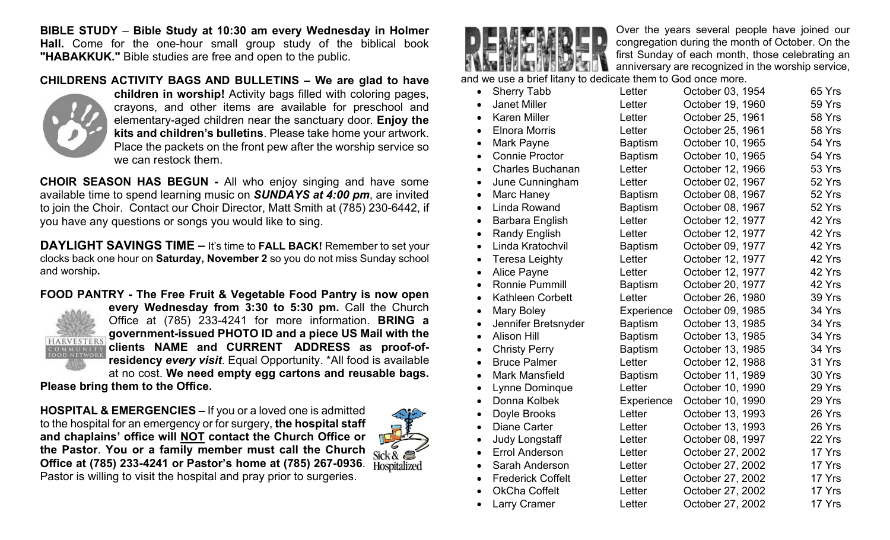**BIBLE STUDY** – **Bible Study at 10:30 am every Wednesday in Holmer Hall.** Come for the one-hour small group study of the biblical book **"HABAKKUK."** Bible studies are free and open to the public.

## **CHILDRENS ACTIVITY BAGS AND BULLETINS – We are glad to have**



**children in worship!** Activity bags filled with coloring pages, crayons, and other items are available for preschool and elementary-aged children near the sanctuary door. **Enjoy the kits and children's bulletins**. Please take home your artwork. Place the packets on the front pew after the worship service so we can restock them.

**CHOIR SEASON HAS BEGUN -** All who enjoy singing and have some available time to spend learning music on *SUNDAYS at 4:00 pm*, are invited to join the Choir. Contact our Choir Director, Matt Smith at (785) 230-6442, if you have any questions or songs you would like to sing.

**DAYLIGHT SAVINGS TIME –** It's time to **FALL BACK!** Remember to set your clocks back one hour on **Saturday, November 2** so you do not miss Sunday school and worship**.**

#### **FOOD PANTRY - The Free Fruit & Vegetable Food Pantry is now open**



**every Wednesday from 3:30 to 5:30 pm.** Call the Church Office at (785) 233-4241 for more information. **BRING a government-issued PHOTO ID and a piece US Mail with the clients NAME and CURRENT ADDRESS as proof-ofresidency** *every visit*. Equal Opportunity. \*All food is available at no cost. **We need empty egg cartons and reusable bags.** 

**Please bring them to the Office.**

**HOSPITAL & EMERGENCIES –** If you or a loved one is admitted to the hospital for an emergency or for surgery, **the hospital staff and chaplains' office will NOT contact the Church Office or the Pastor**. **You or a family member must call the Church Office at (785) 233-4241 or Pastor's home at (785) 267-0936**. Pastor is willing to visit the hospital and pray prior to surgeries.





Over the years several people have joined our congregation during the month of October. On the first Sunday of each month, those celebrating an anniversary are recognized in the worship service,

and we use a brief litany to dedicate them to God once more.

- Sherry Tabb Letter October 03, 1954 65 Yrs • Janet Miller Letter October 19, 1960 59 Yrs • Karen Miller Letter October 25, 1961 58 Yrs • Elnora Morris Letter October 25, 1961 58 Yrs • Mark Payne Baptism October 10, 1965 54 Yrs • Connie Proctor Baptism October 10, 1965 54 Yrs • Charles Buchanan Letter October 12, 1966 53 Yrs • June Cunningham Letter October 02, 1967 52 Yrs • Marc Haney Baptism October 08, 1967 52 Yrs • Linda Rowand Baptism October 08, 1967 52 Yrs • Barbara English Letter October 12, 1977 42 Yrs • Randy English Letter October 12, 1977 42 Yrs • Linda Kratochvil Baptism October 09, 1977 42 Yrs • Teresa Leighty Letter October 12, 1977 42 Yrs • Alice Payne Letter October 12, 1977 42 Yrs • Ronnie Pummill Baptism October 20, 1977 42 Yrs • Kathleen Corbett Letter October 26, 1980 39 Yrs • Mary Boley Experience October 09, 1985 34 Yrs • Jennifer Bretsnyder Baptism October 13, 1985 34 Yrs • Alison Hill Baptism October 13, 1985 34 Yrs • Christy Perry **Baptism** October 13, 1985 34 Yrs • Bruce Palmer Letter October 12, 1988 31 Yrs • Mark Mansfield Baptism October 11, 1989 30 Yrs • Lynne Dominque Letter October 10, 1990 29 Yrs • Donna Kolbek Experience October 10, 1990 29 Yrs • Doyle Brooks Letter October 13, 1993 26 Yrs
- 
- 
- 
- 
- 
- 
- Larry Cramer Letter October 27, 2002 17 Yrs

• Diane Carter Letter October 13, 1993 26 Yrs • Judy Longstaff Letter October 08, 1997 22 Yrs • Errol Anderson Letter October 27, 2002 17 Yrs • Sarah Anderson Letter October 27, 2002 17 Yrs • Frederick Coffelt Letter October 27, 2002 17 Yrs • OkCha Coffelt Letter October 27, 2002 17 Yrs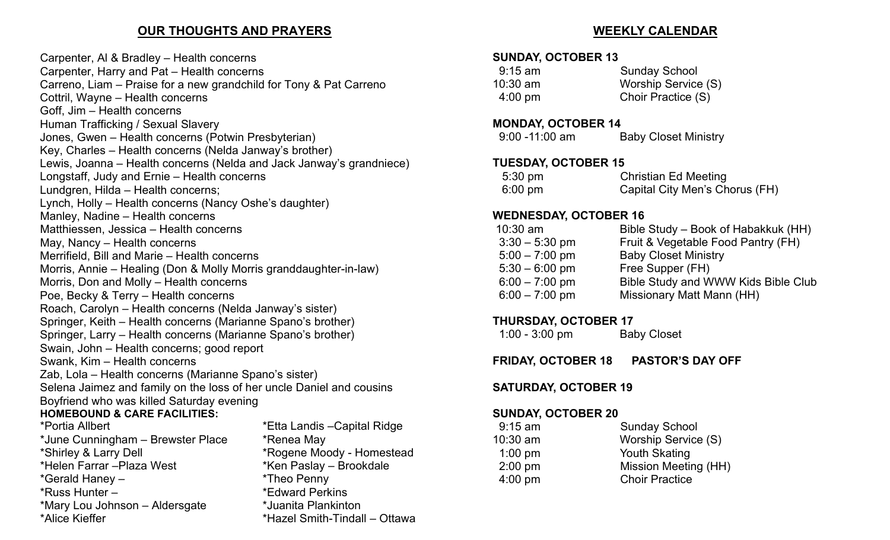## **OUR THOUGHTS AND PRAYERS**

Carpenter, Al & Bradley – Health concerns Carpenter, Harry and Pat – Health concerns Carreno, Liam – Praise for a new grandchild for Tony & Pat Carreno Cottril, Wayne – Health concerns Goff, Jim – Health concerns Human Trafficking / Sexual Slavery Jones, Gwen – Health concerns (Potwin Presbyterian) Key, Charles – Health concerns (Nelda Janway's brother) Lewis, Joanna – Health concerns (Nelda and Jack Janway's grandniece) Longstaff, Judy and Ernie – Health concerns Lundgren, Hilda – Health concerns; Lynch, Holly – Health concerns (Nancy Oshe's daughter) Manley, Nadine – Health concerns Matthiessen, Jessica – Health concerns May, Nancy – Health concerns Merrifield, Bill and Marie – Health concerns Morris, Annie – Healing (Don & Molly Morris granddaughter-in-law) Morris, Don and Molly – Health concerns Poe, Becky & Terry – Health concerns Roach, Carolyn – Health concerns (Nelda Janway's sister) Springer, Keith – Health concerns (Marianne Spano's brother) Springer, Larry – Health concerns (Marianne Spano's brother) Swain, John – Health concerns; good report Swank, Kim – Health concerns Zab, Lola – Health concerns (Marianne Spano's sister) Selena Jaimez and family on the loss of her uncle Daniel and cousins Boyfriend who was killed Saturday evening **HOMEBOUND & CARE FACILITIES:**  \*Etta Landis –Capital Ridge \*June Cunningham – Brewster Place \* \* Renea May \*Shirley & Larry Dell \*Rogene Moody - Homestead  $*$ Ken Paslay – Brookdale \*Gerald Haney – \*Theo Penny \*Russ Hunter – \*Edward Perkins \*Mary Lou Johnson – Aldersgate \*Juanita Plankinton \*Hazel Smith-Tindall – Ottawa

## **WEEKLY CALENDAR**

#### **SUNDAY, OCTOBER 13**

| $9:15$ am         | <b>Sunday School</b> |  |
|-------------------|----------------------|--|
| $10:30$ am        | Worship Service (S)  |  |
| $4:00 \text{ pm}$ | Choir Practice (S)   |  |

#### **MONDAY, OCTOBER 14**

| $9:00 - 11:00$ am | <b>Baby Closet Ministry</b> |
|-------------------|-----------------------------|
|-------------------|-----------------------------|

## **TUESDAY, OCTOBER 15**

| $5:30 \text{ pm}$ | <b>Christian Ed Meeting</b>    |
|-------------------|--------------------------------|
| $6:00 \text{ pm}$ | Capital City Men's Chorus (FH) |

## **WEDNESDAY, OCTOBER 16**

| $10:30$ am       | Bible Study – Book of Habakkuk (HH) |
|------------------|-------------------------------------|
| $3:30 - 5:30$ pm | Fruit & Vegetable Food Pantry (FH)  |
| $5:00 - 7:00$ pm | <b>Baby Closet Ministry</b>         |
| $5:30 - 6:00$ pm | Free Supper (FH)                    |
| $6:00 - 7:00$ pm | Bible Study and WWW Kids Bible Club |
| $6:00 - 7:00$ pm | Missionary Matt Mann (HH)           |
|                  |                                     |

## **THURSDAY, OCTOBER 17**

| $1:00 - 3:00$ pm | <b>Baby Closet</b> |
|------------------|--------------------|
|------------------|--------------------|

**FRIDAY, OCTOBER 18 PASTOR'S DAY OFF**

## **SATURDAY, OCTOBER 19**

### **SUNDAY, OCTOBER 20**

| <b>Sunday School</b>  |  |  |
|-----------------------|--|--|
| Worship Service (S)   |  |  |
| <b>Youth Skating</b>  |  |  |
| Mission Meeting (HH)  |  |  |
| <b>Choir Practice</b> |  |  |
|                       |  |  |